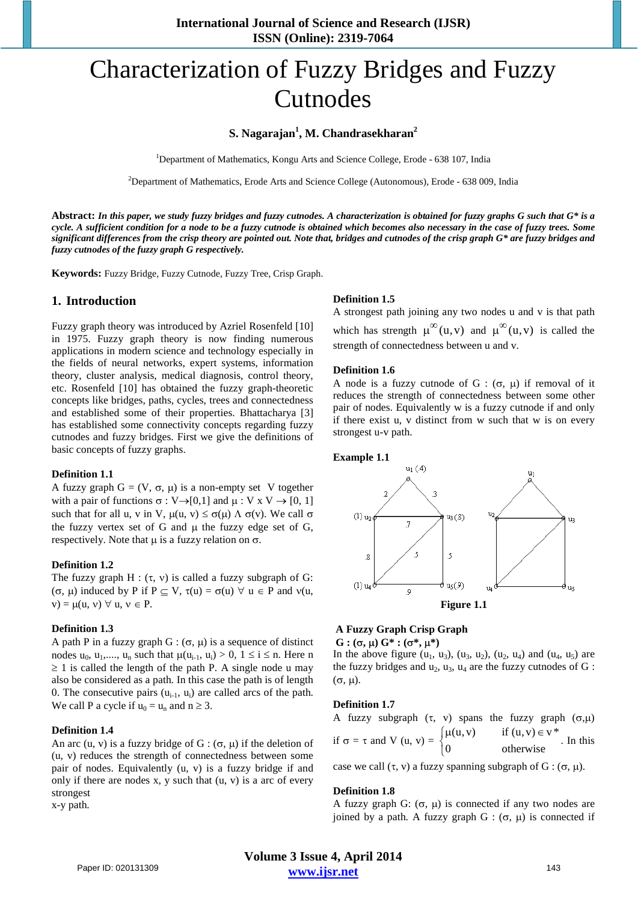# Characterization of Fuzzy Bridges and Fuzzy Cutnodes

# **S. Nagarajan1 , M. Chandrasekharan2**

<sup>1</sup>Department of Mathematics, Kongu Arts and Science College, Erode - 638 107, India

<sup>2</sup>Department of Mathematics, Erode Arts and Science College (Autonomous), Erode - 638 009, India

**Abstract:** *In this paper, we study fuzzy bridges and fuzzy cutnodes. A characterization is obtained for fuzzy graphs G such that G\* is a cycle. A sufficient condition for a node to be a fuzzy cutnode is obtained which becomes also necessary in the case of fuzzy trees. Some significant differences from the crisp theory are pointed out. Note that, bridges and cutnodes of the crisp graph G\* are fuzzy bridges and fuzzy cutnodes of the fuzzy graph G respectively.*

**Keywords:** Fuzzy Bridge, Fuzzy Cutnode, Fuzzy Tree, Crisp Graph.

## **1. Introduction**

Fuzzy graph theory was introduced by Azriel Rosenfeld [10] in 1975. Fuzzy graph theory is now finding numerous applications in modern science and technology especially in the fields of neural networks, expert systems, information theory, cluster analysis, medical diagnosis, control theory, etc. Rosenfeld [10] has obtained the fuzzy graph-theoretic concepts like bridges, paths, cycles, trees and connectedness and established some of their properties. Bhattacharya [3] has established some connectivity concepts regarding fuzzy cutnodes and fuzzy bridges. First we give the definitions of basic concepts of fuzzy graphs.

#### **Definition 1.1**

A fuzzy graph  $G = (V, \sigma, \mu)$  is a non-empty set V together with a pair of functions  $\sigma : V \rightarrow [0,1]$  and  $\mu : V \times V \rightarrow [0, 1]$ such that for all u, v in V,  $\mu(u, v) \leq \sigma(\mu) \Lambda \sigma(v)$ . We call  $\sigma$ the fuzzy vertex set of G and  $\mu$  the fuzzy edge set of G, respectively. Note that  $\mu$  is a fuzzy relation on  $\sigma$ .

#### **Definition 1.2**

The fuzzy graph  $H : (\tau, v)$  is called a fuzzy subgraph of G: (σ, μ) induced by P if  $P \subseteq V$ ,  $\tau(u) = \sigma(u) \ \forall \ u \in P$  and  $\nu(u, \ u)$  $v) = \mu(u, v) \forall u, v \in P$ .

#### **Definition 1.3**

A path P in a fuzzy graph G :  $(\sigma, \mu)$  is a sequence of distinct nodes  $u_0$ ,  $u_1$ ,....,  $u_n$  such that  $\mu(u_{i-1}, u_i) > 0$ ,  $1 \le i \le n$ . Here n  $\geq 1$  is called the length of the path P. A single node u may also be considered as a path. In this case the path is of length 0. The consecutive pairs  $(u_{i-1}, u_i)$  are called arcs of the path. We call P a cycle if  $u_0 = u_n$  and  $n \ge 3$ .

#### **Definition 1.4**

An arc  $(u, v)$  is a fuzzy bridge of  $G : (\sigma, \mu)$  if the deletion of (u, v) reduces the strength of connectedness between some pair of nodes. Equivalently (u, v) is a fuzzy bridge if and only if there are nodes x, y such that  $(u, v)$  is a arc of every strongest

x-y path.

#### **Definition 1.5**

A strongest path joining any two nodes u and v is that path which has strength  $\mu^{\infty}(u,v)$  and  $\mu^{\infty}(u,v)$  is called the strength of connectedness between u and v.

#### **Definition 1.6**

A node is a fuzzy cutnode of G :  $(\sigma, \mu)$  if removal of it reduces the strength of connectedness between some other pair of nodes. Equivalently w is a fuzzy cutnode if and only if there exist u, v distinct from w such that w is on every strongest u-v path.

#### **Example 1.1**



#### **A Fuzzy Graph Crisp Graph G** : (σ, μ)  $G^*$  : (σ<sup>\*</sup>, μ<sup>\*</sup>)

In the above figure  $(u_1, u_3)$ ,  $(u_3, u_2)$ ,  $(u_2, u_4)$  and  $(u_4, u_5)$  are the fuzzy bridges and  $u_2$ ,  $u_3$ ,  $u_4$  are the fuzzy cutnodes of G : (σ, µ).

#### **Definition 1.7**

A fuzzy subgraph (τ, v) spans the fuzzy graph  $(σ, μ)$ if  $\sigma = \tau$  and V (u, v) =  $\begin{cases} \mu(u, v) & \text{if } (u, v) \in v^* \\ 0 & \text{if } (u, v) \end{cases}$ 0 otherwise  $\overline{\mathfrak{l}}$ . In this

case we call  $(\tau, v)$  a fuzzy spanning subgraph of G :  $(\sigma, \mu)$ .

#### **Definition 1.8**

A fuzzy graph G:  $(\sigma, \mu)$  is connected if any two nodes are joined by a path. A fuzzy graph  $G : (\sigma, \mu)$  is connected if

**Volume 3 Issue 4, April 2014 www.ijsr.net** Paper ID: 020131309 143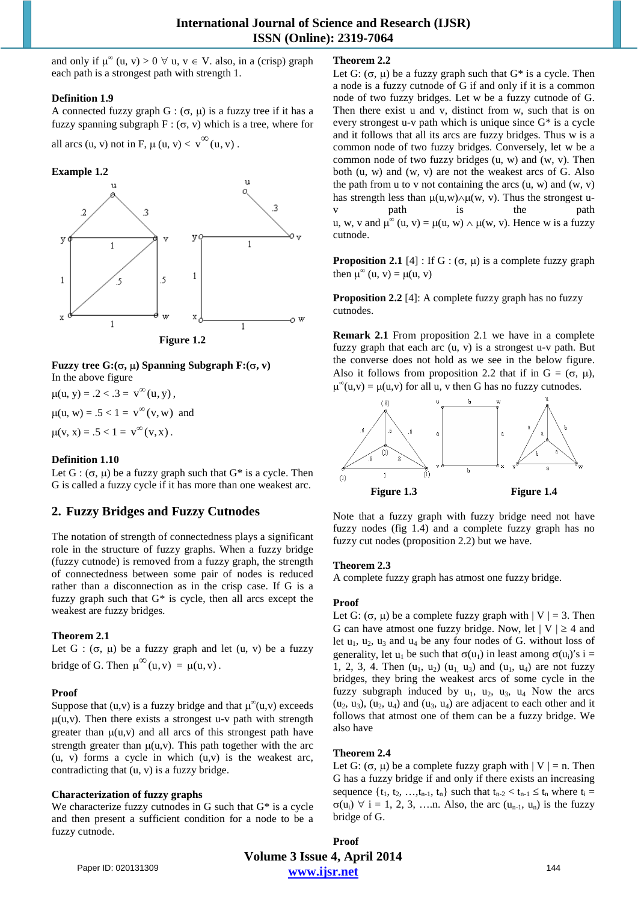and only if  $\mu^{\infty}(u, v) > 0 \ \forall u, v \in V$ . also, in a (crisp) graph each path is a strongest path with strength 1.

#### **Definition 1.9**

A connected fuzzy graph G :  $(\sigma, \mu)$  is a fuzzy tree if it has a fuzzy spanning subgraph  $F : (\sigma, v)$  which is a tree, where for all arcs (u, v) not in F,  $\mu$  (u, v)  $\lt v^{\infty}$  (u, v).

#### **Example 1.2**



**Fuzzy tree G:**( $\sigma$ ,  $\mu$ ) Spanning Subgraph F:( $\sigma$ , v) In the above figure

 $\mu(u, y) = .2 < .3 = v^{\infty}(u, y)$ ,  $\mu(u, w) = .5 < 1 = v^{\infty}(v, w)$  and

 $\mu(v, x) = .5 < 1 = v^{\infty}(v, x)$ .

## **Definition 1.10**

Let  $G: (\sigma, \mu)$  be a fuzzy graph such that  $G^*$  is a cycle. Then G is called a fuzzy cycle if it has more than one weakest arc.

# **2. Fuzzy Bridges and Fuzzy Cutnodes**

The notation of strength of connectedness plays a significant role in the structure of fuzzy graphs. When a fuzzy bridge (fuzzy cutnode) is removed from a fuzzy graph, the strength of connectedness between some pair of nodes is reduced rather than a disconnection as in the crisp case. If G is a fuzzy graph such that G\* is cycle, then all arcs except the weakest are fuzzy bridges.

## **Theorem 2.1**

Let G :  $(\sigma, \mu)$  be a fuzzy graph and let  $(u, v)$  be a fuzzy bridge of G. Then  $\mu^{\infty}(u, v) = \mu(u, v)$ .

## **Proof**

Suppose that (u,v) is a fuzzy bridge and that  $\mu^{\infty}(u,v)$  exceeds  $\mu(u,v)$ . Then there exists a strongest u-v path with strength greater than  $\mu(u, v)$  and all arcs of this strongest path have strength greater than  $\mu(u,v)$ . This path together with the arc  $(u, v)$  forms a cycle in which  $(u, v)$  is the weakest arc, contradicting that (u, v) is a fuzzy bridge.

## **Characterization of fuzzy graphs**

We characterize fuzzy cutnodes in G such that  $G^*$  is a cycle and then present a sufficient condition for a node to be a fuzzy cutnode.

## **Theorem 2.2**

Let G:  $(\sigma, \mu)$  be a fuzzy graph such that G<sup>\*</sup> is a cycle. Then a node is a fuzzy cutnode of G if and only if it is a common node of two fuzzy bridges. Let w be a fuzzy cutnode of G. Then there exist u and v, distinct from w, such that is on every strongest u-v path which is unique since G\* is a cycle and it follows that all its arcs are fuzzy bridges. Thus w is a common node of two fuzzy bridges. Conversely, let w be a common node of two fuzzy bridges (u, w) and (w, v). Then both (u, w) and (w, v) are not the weakest arcs of G. Also the path from u to v not containing the arcs  $(u, w)$  and  $(w, v)$ has strength less than  $\mu(u,w) \wedge \mu(w, v)$ . Thus the strongest uv path is the path u, w, v and  $\mu^{\infty}(u, v) = \mu(u, w) \wedge \mu(w, v)$ . Hence w is a fuzzy cutnode.

**Proposition 2.1** [4] : If G :  $(\sigma, \mu)$  is a complete fuzzy graph then  $\mu^{\infty}$  (u, v) =  $\mu$ (u, v)

**Proposition 2.2** [4]: A complete fuzzy graph has no fuzzy cutnodes.

**Remark 2.1** From proposition 2.1 we have in a complete fuzzy graph that each arc (u, v) is a strongest u-v path. But the converse does not hold as we see in the below figure. Also it follows from proposition 2.2 that if in  $G = (\sigma, \mu)$ ,  $\mu^{\infty}(u, v) = \mu(u, v)$  for all u, v then G has no fuzzy cutnodes.



Note that a fuzzy graph with fuzzy bridge need not have fuzzy nodes (fig 1.4) and a complete fuzzy graph has no fuzzy cut nodes (proposition 2.2) but we have.

## **Theorem 2.3**

A complete fuzzy graph has atmost one fuzzy bridge.

## **Proof**

Let G:  $(\sigma, \mu)$  be a complete fuzzy graph with  $|V| = 3$ . Then G can have atmost one fuzzy bridge. Now, let  $|V| \ge 4$  and let  $u_1$ ,  $u_2$ ,  $u_3$  and  $u_4$  be any four nodes of G. without loss of generality, let u<sub>1</sub> be such that  $\sigma(u_1)$  in least among  $\sigma(u_i)'s$  i = 1, 2, 3, 4. Then  $(u_1, u_2)$   $(u_1, u_3)$  and  $(u_1, u_4)$  are not fuzzy bridges, they bring the weakest arcs of some cycle in the fuzzy subgraph induced by  $u_1$ ,  $u_2$ ,  $u_3$ ,  $u_4$  Now the arcs  $(u_2, u_3)$ ,  $(u_2, u_4)$  and  $(u_3, u_4)$  are adjacent to each other and it follows that atmost one of them can be a fuzzy bridge. We also have

## **Theorem 2.4**

Let G:  $(\sigma, \mu)$  be a complete fuzzy graph with  $|V| = n$ . Then G has a fuzzy bridge if and only if there exists an increasing sequence  $\{t_1, t_2, \ldots, t_{n-1}, t_n\}$  such that  $t_{n-2} < t_{n-1} \leq t_n$  where  $t_i =$  $\sigma(u_i)$   $\forall$  i = 1, 2, 3, ... n. Also, the arc  $(u_{n-1}, u_n)$  is the fuzzy bridge of G.

**Volume 3 Issue 4, April 2014 www.ijsr.net Proof**  Paper ID: 020131309 144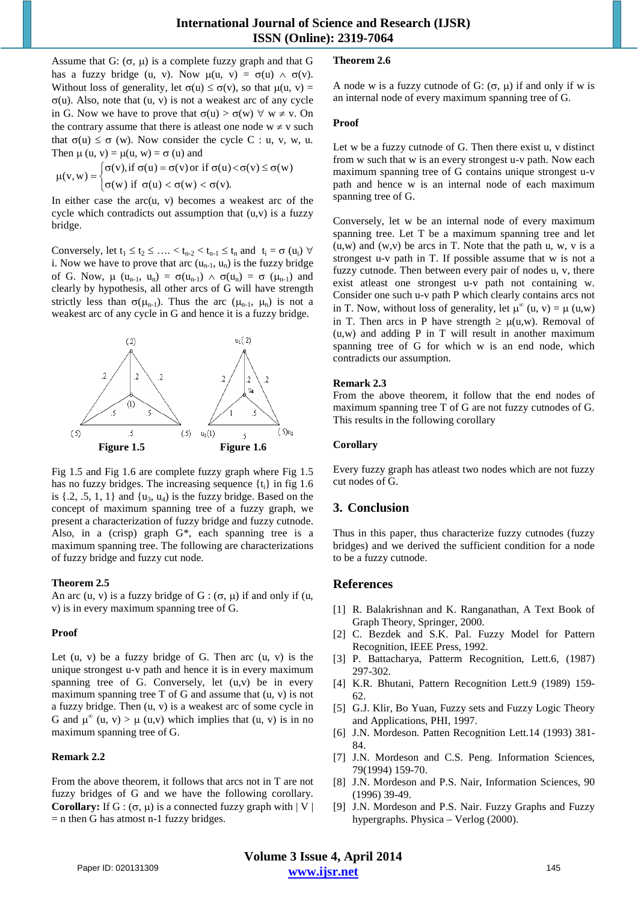Assume that G:  $(\sigma, \mu)$  is a complete fuzzy graph and that G has a fuzzy bridge (u, v). Now  $\mu(u, v) = \sigma(u) \wedge \sigma(v)$ . Without loss of generality, let  $\sigma(u) \leq \sigma(v)$ , so that  $\mu(u, v) =$ σ(u). Also, note that (u, v) is not a weakest arc of any cycle in G. Now we have to prove that  $\sigma(u) > \sigma(w)$   $\forall w \neq v$ . On the contrary assume that there is at least one node  $w \neq v$  such that  $\sigma(u) \leq \sigma$  (w). Now consider the cycle C : u, v, w, u. Then  $\mu$  (u, v) =  $\mu$ (u, w) =  $\sigma$  (u) and

$$
\mu(v,w) = \begin{cases} \sigma(v), \text{if } \sigma(u) = \sigma(v) \, \text{or if } \sigma(u) < \sigma(v) \leq \sigma(w) \\ \sigma(w) \, \text{if } \sigma(u) < \sigma(w) < \sigma(v). \end{cases}
$$

In either case the  $arc(u, v)$  becomes a weakest arc of the cycle which contradicts out assumption that  $(u, v)$  is a fuzzy bridge.

Conversely, let  $t_1 \le t_2 \le \ldots < t_{n-2} < t_{n-1} \le t_n$  and  $t_i = \sigma(u_i)$   $\forall$ i. Now we have to prove that arc  $(u_{n-1}, u_n)$  is the fuzzy bridge of G. Now,  $\mu$  (u<sub>n-1</sub>, u<sub>n</sub>) =  $\sigma(u_{n-1}) \wedge \sigma(u_n) = \sigma(u_{n-1})$  and clearly by hypothesis, all other arcs of G will have strength strictly less than  $\sigma(\mu_{n-1})$ . Thus the arc  $(\mu_{n-1}, \mu_n)$  is not a weakest arc of any cycle in G and hence it is a fuzzy bridge.



Fig 1.5 and Fig 1.6 are complete fuzzy graph where Fig 1.5 has no fuzzy bridges. The increasing sequence  $\{t_i\}$  in fig 1.6 is  $\{2, .5, 1, 1\}$  and  $\{u_3, u_4\}$  is the fuzzy bridge. Based on the concept of maximum spanning tree of a fuzzy graph, we present a characterization of fuzzy bridge and fuzzy cutnode. Also, in a (crisp) graph G\*, each spanning tree is a maximum spanning tree. The following are characterizations of fuzzy bridge and fuzzy cut node.

## **Theorem 2.5**

An arc (u, v) is a fuzzy bridge of G :  $(\sigma, \mu)$  if and only if (u, v) is in every maximum spanning tree of G.

## **Proof**

Let  $(u, v)$  be a fuzzy bridge of G. Then arc  $(u, v)$  is the unique strongest u-v path and hence it is in every maximum spanning tree of G. Conversely, let  $(u,v)$  be in every maximum spanning tree  $T$  of  $G$  and assume that  $(u, v)$  is not a fuzzy bridge. Then (u, v) is a weakest arc of some cycle in G and  $\mu^{\infty}$  (u, v) >  $\mu$  (u,v) which implies that (u, v) is in no maximum spanning tree of G.

## **Remark 2.2**

From the above theorem, it follows that arcs not in T are not fuzzy bridges of G and we have the following corollary. **Corollary:** If G :  $(\sigma, \mu)$  is a connected fuzzy graph with  $|V|$  $=$  n then G has atmost n-1 fuzzy bridges.

## **Theorem 2.6**

A node w is a fuzzy cutnode of G:  $(\sigma, \mu)$  if and only if w is an internal node of every maximum spanning tree of G.

#### **Proof**

Let w be a fuzzy cutnode of G. Then there exist u, v distinct from w such that w is an every strongest u-v path. Now each maximum spanning tree of G contains unique strongest u-v path and hence w is an internal node of each maximum spanning tree of G.

Conversely, let w be an internal node of every maximum spanning tree. Let T be a maximum spanning tree and let  $(u, w)$  and  $(w, v)$  be arcs in T. Note that the path u, w, v is a strongest u-v path in T. If possible assume that w is not a fuzzy cutnode. Then between every pair of nodes u, v, there exist atleast one strongest u-v path not containing w. Consider one such u-v path P which clearly contains arcs not in T. Now, without loss of generality, let  $\mu^{\infty}(u, v) = \mu(u, w)$ in T. Then arcs in P have strength  $\geq \mu(u,w)$ . Removal of  $(u, w)$  and adding P in T will result in another maximum spanning tree of G for which w is an end node, which contradicts our assumption.

#### **Remark 2.3**

From the above theorem, it follow that the end nodes of maximum spanning tree T of G are not fuzzy cutnodes of G. This results in the following corollary

#### **Corollary**

Every fuzzy graph has atleast two nodes which are not fuzzy cut nodes of G.

## **3. Conclusion**

Thus in this paper, thus characterize fuzzy cutnodes (fuzzy bridges) and we derived the sufficient condition for a node to be a fuzzy cutnode.

## **References**

- [1] R. Balakrishnan and K. Ranganathan, A Text Book of Graph Theory, Springer, 2000.
- [2] C. Bezdek and S.K. Pal. Fuzzy Model for Pattern Recognition, IEEE Press, 1992.
- [3] P. Battacharya, Patterm Recognition, Lett.6, (1987) 297-302.
- [4] K.R. Bhutani, Pattern Recognition Lett.9 (1989) 159- 62.
- [5] G.J. Klir, Bo Yuan, Fuzzy sets and Fuzzy Logic Theory and Applications, PHI, 1997.
- [6] J.N. Mordeson. Patten Recognition Lett.14 (1993) 381- 84.
- [7] J.N. Mordeson and C.S. Peng. Information Sciences, 79(1994) 159-70.
- [8] J.N. Mordeson and P.S. Nair, Information Sciences, 90 (1996) 39-49.
- [9] J.N. Mordeson and P.S. Nair. Fuzzy Graphs and Fuzzy hypergraphs. Physica – Verlog (2000).

**Volume 3 Issue 4, April 2014 www.ijsr.net** Paper ID: 020131309 145